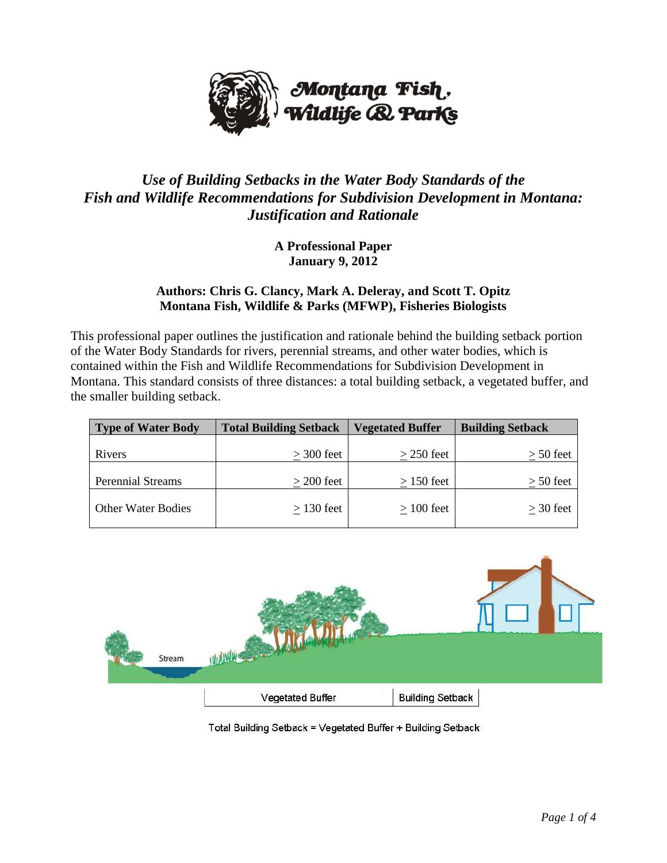

## *Use of Building Setbacks in the Water Body Standards of the Fish and Wildlife Recommendations for Subdivision Development in Montana: Justification and Rationale*

**A Professional Paper January 9, 2012**

## **Authors: Chris G. Clancy, Mark A. Deleray, and Scott T. Opitz Montana Fish, Wildlife & Parks (MFWP), Fisheries Biologists**

This professional paper outlines the justification and rationale behind the building setback portion of the Water Body Standards for rivers, perennial streams, and other water bodies, which is contained within the Fish and Wildlife Recommendations for Subdivision Development in Montana. This standard consists of three distances: a total building setback, a vegetated buffer, and the smaller building setback.

| <b>Type of Water Body</b> | <b>Total Building Setback</b> | <b>Vegetated Buffer</b> | <b>Building Setback</b> |
|---------------------------|-------------------------------|-------------------------|-------------------------|
| Rivers                    | $>$ 300 feet                  | $>$ 250 feet            | $> 50$ feet             |
| <b>Perennial Streams</b>  | $>$ 200 feet                  | $>150$ feet             | $> 50$ feet             |
| <b>Other Water Bodies</b> | $>$ 130 feet                  | $>100$ feet             | $>$ 30 feet             |



Total Building Setback = Vegetated Buffer + Building Setback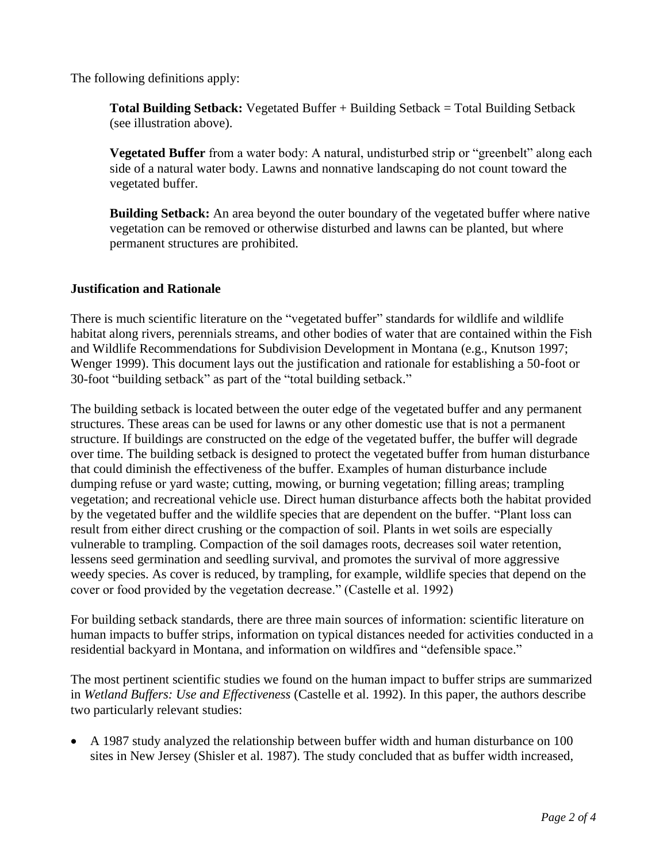The following definitions apply:

**Total Building Setback:** Vegetated Buffer + Building Setback = Total Building Setback (see illustration above).

**Vegetated Buffer** from a water body: A natural, undisturbed strip or "greenbelt" along each side of a natural water body. Lawns and nonnative landscaping do not count toward the vegetated buffer.

**Building Setback:** An area beyond the outer boundary of the vegetated buffer where native vegetation can be removed or otherwise disturbed and lawns can be planted, but where permanent structures are prohibited.

## **Justification and Rationale**

There is much scientific literature on the "vegetated buffer" standards for wildlife and wildlife habitat along rivers, perennials streams, and other bodies of water that are contained within the Fish and Wildlife Recommendations for Subdivision Development in Montana (e.g., Knutson 1997; Wenger 1999). This document lays out the justification and rationale for establishing a 50-foot or 30-foot "building setback" as part of the "total building setback."

The building setback is located between the outer edge of the vegetated buffer and any permanent structures. These areas can be used for lawns or any other domestic use that is not a permanent structure. If buildings are constructed on the edge of the vegetated buffer, the buffer will degrade over time. The building setback is designed to protect the vegetated buffer from human disturbance that could diminish the effectiveness of the buffer. Examples of human disturbance include dumping refuse or yard waste; cutting, mowing, or burning vegetation; filling areas; trampling vegetation; and recreational vehicle use. Direct human disturbance affects both the habitat provided by the vegetated buffer and the wildlife species that are dependent on the buffer. "Plant loss can result from either direct crushing or the compaction of soil. Plants in wet soils are especially vulnerable to trampling. Compaction of the soil damages roots, decreases soil water retention, lessens seed germination and seedling survival, and promotes the survival of more aggressive weedy species. As cover is reduced, by trampling, for example, wildlife species that depend on the cover or food provided by the vegetation decrease." (Castelle et al. 1992)

For building setback standards, there are three main sources of information: scientific literature on human impacts to buffer strips, information on typical distances needed for activities conducted in a residential backyard in Montana, and information on wildfires and "defensible space."

The most pertinent scientific studies we found on the human impact to buffer strips are summarized in *Wetland Buffers: Use and Effectiveness* (Castelle et al. 1992). In this paper, the authors describe two particularly relevant studies:

 A 1987 study analyzed the relationship between buffer width and human disturbance on 100 sites in New Jersey (Shisler et al. 1987). The study concluded that as buffer width increased,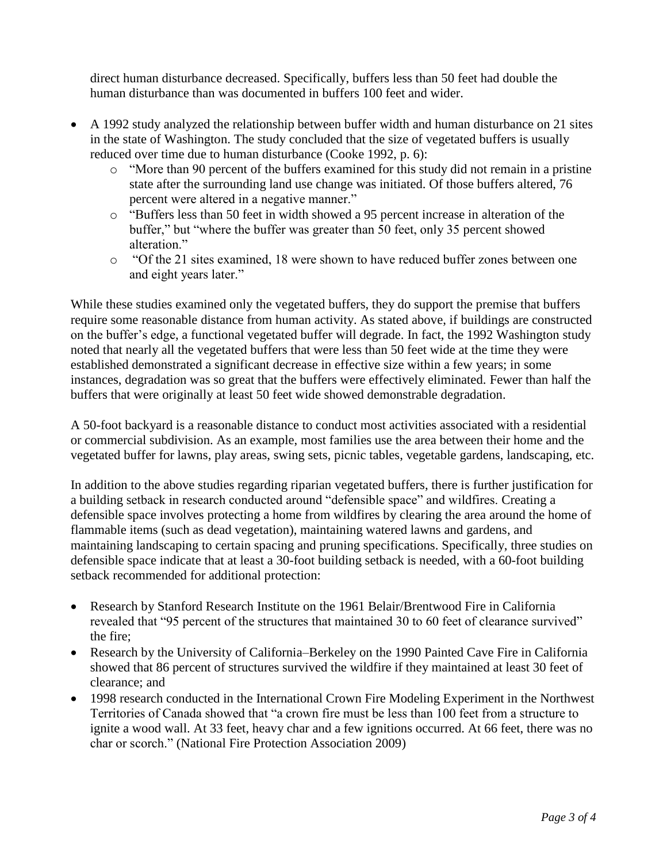direct human disturbance decreased. Specifically, buffers less than 50 feet had double the human disturbance than was documented in buffers 100 feet and wider.

- A 1992 study analyzed the relationship between buffer width and human disturbance on 21 sites in the state of Washington. The study concluded that the size of vegetated buffers is usually reduced over time due to human disturbance (Cooke 1992, p. 6):
	- $\circ$  "More than 90 percent of the buffers examined for this study did not remain in a pristine state after the surrounding land use change was initiated. Of those buffers altered, 76 percent were altered in a negative manner."
	- o ―Buffers less than 50 feet in width showed a 95 percent increase in alteration of the buffer," but "where the buffer was greater than 50 feet, only 35 percent showed alteration<sup>"</sup>
	- $\circ$  "Of the 21 sites examined, 18 were shown to have reduced buffer zones between one and eight years later."

While these studies examined only the vegetated buffers, they do support the premise that buffers require some reasonable distance from human activity. As stated above, if buildings are constructed on the buffer's edge, a functional vegetated buffer will degrade. In fact, the 1992 Washington study noted that nearly all the vegetated buffers that were less than 50 feet wide at the time they were established demonstrated a significant decrease in effective size within a few years; in some instances, degradation was so great that the buffers were effectively eliminated. Fewer than half the buffers that were originally at least 50 feet wide showed demonstrable degradation.

A 50-foot backyard is a reasonable distance to conduct most activities associated with a residential or commercial subdivision. As an example, most families use the area between their home and the vegetated buffer for lawns, play areas, swing sets, picnic tables, vegetable gardens, landscaping, etc.

In addition to the above studies regarding riparian vegetated buffers, there is further justification for a building setback in research conducted around "defensible space" and wildfires. Creating a defensible space involves protecting a home from wildfires by clearing the area around the home of flammable items (such as dead vegetation), maintaining watered lawns and gardens, and maintaining landscaping to certain spacing and pruning specifications. Specifically, three studies on defensible space indicate that at least a 30-foot building setback is needed, with a 60-foot building setback recommended for additional protection:

- Research by Stanford Research Institute on the 1961 Belair/Brentwood Fire in California revealed that "95 percent of the structures that maintained 30 to 60 feet of clearance survived" the fire;
- Research by the University of California–Berkeley on the 1990 Painted Cave Fire in California showed that 86 percent of structures survived the wildfire if they maintained at least 30 feet of clearance; and
- 1998 research conducted in the International Crown Fire Modeling Experiment in the Northwest Territories of Canada showed that "a crown fire must be less than 100 feet from a structure to ignite a wood wall. At 33 feet, heavy char and a few ignitions occurred. At 66 feet, there was no char or scorch." (National Fire Protection Association 2009)